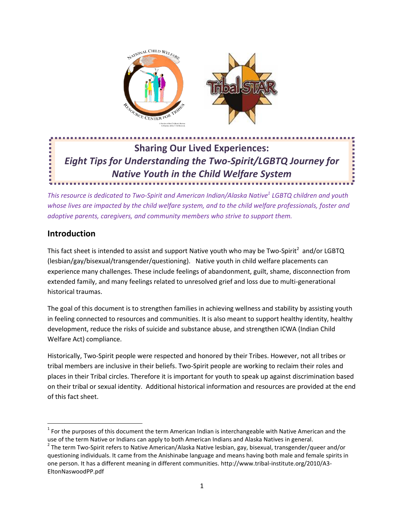

# **Sharing Our Lived Experiences:** *Eight Tips for Understanding the Two-Spirit/LGBTQ Journey for Native Youth in the Child Welfare System In the Child Welfare System*

*This resource is dedicated to Two-Spirit and American Indian/Alaska Native1 LGBTQ children and youth whose lives are impacted by the child welfare system, and to the child welfare professionals, foster and adoptive parents, caregivers, and community members who strive to support them.* 

### **Introduction**

This fact sheet is intended to assist and support Native youth who may be Two-Spirit<sup>2</sup> and/or LGBTQ (lesbian/gay/bisexual/transgender/questioning). Native youth in child welfare placements can experience many challenges. These include feelings of abandonment, guilt, shame, disconnection from extended family, and many feelings related to unresolved grief and loss due to multi-generational historical traumas.

The goal of this document is to strengthen families in achieving wellness and stability by assisting youth in feeling connected to resources and communities. It is also meant to support healthy identity, healthy development, reduce the risks of suicide and substance abuse, and strengthen ICWA (Indian Child Welfare Act) compliance.

Historically, Two-Spirit people were respected and honored by their Tribes. However, not all tribes or tribal members are inclusive in their beliefs. Two-Spirit people are working to reclaim their roles and places in their Tribal circles. Therefore it is important for youth to speak up against discrimination based on their tribal or sexual identity. Additional historical information and resources are provided at the end of this fact sheet.

 $1$  For the purposes of this document the term American Indian is interchangeable with Native American and the use of the term Native or Indians can apply to both American Indians and Alaska Natives in general.

<sup>&</sup>lt;sup>2</sup> The term Two-Spirit refers to Native American/Alaska Native lesbian, gay, bisexual, transgender/queer and/or questioning individuals. It came from the Anishinabe language and means having both male and female spirits in one person. It has a different meaning in different communities. http://www.tribal-institute.org/2010/A3- EltonNaswoodPP.pdf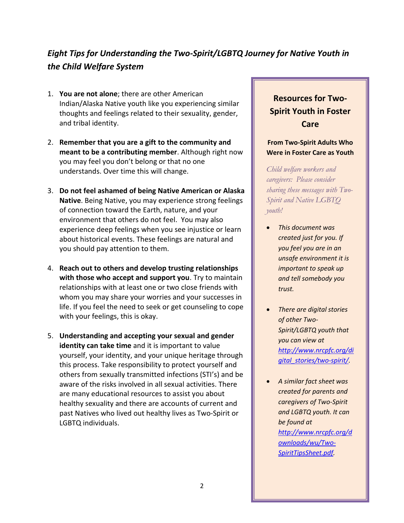### *Eight Tips for Understanding the Two-Spirit/LGBTQ Journey for Native Youth in the Child Welfare System*

- 1. **You are not alone**; there are other American Indian/Alaska Native youth like you experiencing similar thoughts and feelings related to their sexuality, gender, and tribal identity.
- 2. **Remember that you are a gift to the community and meant to be a contributing member**. Although right now you may feel you don't belong or that no one understands. Over time this will change.
- 3. **Do not feel ashamed of being Native American or Alaska Native**. Being Native, you may experience strong feelings of connection toward the Earth, nature, and your environment that others do not feel. You may also experience deep feelings when you see injustice or learn about historical events. These feelings are natural and you should pay attention to them.
- 4. **Reach out to others and develop trusting relationships with those who accept and support you**. Try to maintain relationships with at least one or two close friends with whom you may share your worries and your successes in life. If you feel the need to seek or get counseling to cope with your feelings, this is okay.
- 5. **Understanding and accepting your sexual and gender identity can take time** and it is important to value yourself, your identity, and your unique heritage through this process. Take responsibility to protect yourself and others from sexually transmitted infections (STI's) and be aware of the risks involved in all sexual activities. There are many educational resources to assist you about healthy sexuality and there are accounts of current and past Natives who lived out healthy lives as Two-Spirit or LGBTQ individuals.

# **Resources for Two-Spirit Youth in Foster Care**

### **From Two-Spirit Adults Who Were in Foster Care as Youth**

*Child welfare workers and caregivers: Please consider sharing these messages with Two-Spirit and Native LGBTQ youth!*

- x *This document was created just for you. If you feel you are in an unsafe environment it is important to speak up and tell somebody you trust.*
- x *There are digital stories of other Two-Spirit/LGBTQ youth that you can view at http://www.nrcpfc.org/di gital\_stories/two-spirit/.*
- x *A similar fact sheet was created for parents and caregivers of Two-Spirit and LGBTQ youth. It can be found at http://www.nrcpfc.org/d ownloads/wu/Two-SpiritTipsSheet.pdf.*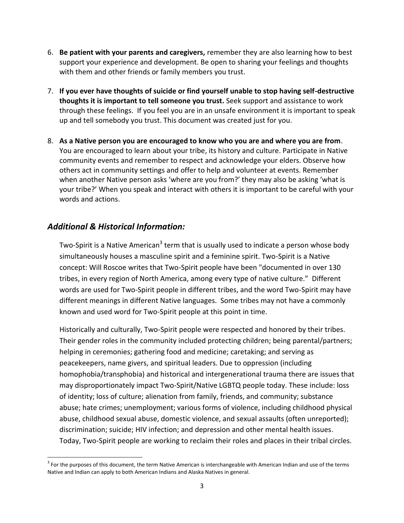- 6. **Be patient with your parents and caregivers,** remember they are also learning how to best support your experience and development. Be open to sharing your feelings and thoughts with them and other friends or family members you trust.
- 7. **If you ever have thoughts of suicide or find yourself unable to stop having self-destructive thoughts it is important to tell someone you trust.** Seek support and assistance to work through these feelings. If you feel you are in an unsafe environment it is important to speak up and tell somebody you trust. This document was created just for you.
- 8. **As a Native person you are encouraged to know who you are and where you are from**. You are encouraged to learn about your tribe, its history and culture. Participate in Native community events and remember to respect and acknowledge your elders. Observe how others act in community settings and offer to help and volunteer at events. Remember when another Native person asks 'where are you from?' they may also be asking 'what is your tribe?' When you speak and interact with others it is important to be careful with your words and actions.

### *Additional & Historical Information:*

Two-Spirit is a Native American<sup>3</sup> term that is usually used to indicate a person whose body simultaneously houses a masculine spirit and a feminine spirit. Two-Spirit is a Native concept: Will Roscoe writes that Two-Spirit people have been "documented in over 130 tribes, in every region of North America, among every type of native culture." Different words are used for Two-Spirit people in different tribes, and the word Two-Spirit may have different meanings in different Native languages. Some tribes may not have a commonly known and used word for Two-Spirit people at this point in time.

Historically and culturally, Two-Spirit people were respected and honored by their tribes. Their gender roles in the community included protecting children; being parental/partners; helping in ceremonies; gathering food and medicine; caretaking; and serving as peacekeepers, name givers, and spiritual leaders. Due to oppression (including homophobia/transphobia) and historical and intergenerational trauma there are issues that may disproportionately impact Two-Spirit/Native LGBTQ people today. These include: loss of identity; loss of culture; alienation from family, friends, and community; substance abuse; hate crimes; unemployment; various forms of violence, including childhood physical abuse, childhood sexual abuse, domestic violence, and sexual assaults (often unreported); discrimination; suicide; HIV infection; and depression and other mental health issues. Today, Two-Spirit people are working to reclaim their roles and places in their tribal circles.

 $3$  For the purposes of this document, the term Native American is interchangeable with American Indian and use of the terms Native and Indian can apply to both American Indians and Alaska Natives in general.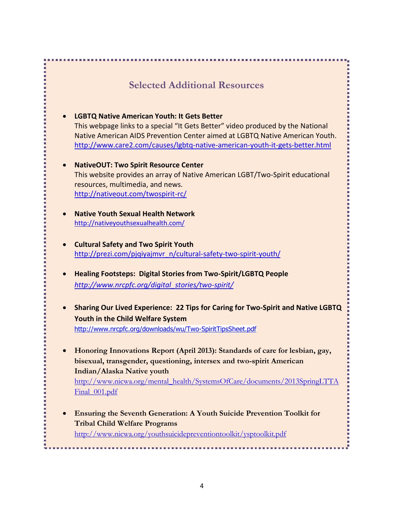# **Selected Additional Resources**

- x **LGBTQ Native American Youth: It Gets Better** This webpage links to a special "It Gets Better" video produced by the National Native American AIDS Prevention Center aimed at LGBTQ Native American Youth. http://www.care2.com/causes/lgbtq-native-american-youth-it-gets-better.html
- x **NativeOUT: Two Spirit Resource Center**  This website provides an array of Native American LGBT/Two-Spirit educational resources, multimedia, and news. http://nativeout.com/twospirit-rc/
- x **Native Youth Sexual Health Network** http://nativeyouthsexualhealth.com/
- x **Cultural Safety and Two Spirit Youth** http://prezi.com/pjqiyajmvr\_n/cultural-safety-two-spirit-youth/
- **Healing Footsteps: Digital Stories from Two-Spirit/LGBTQ People** *http://www.nrcpfc.org/digital\_stories/two-spirit/*
- **Sharing Our Lived Experience: 22 Tips for Caring for Two-Spirit and Native LGBTQ Youth in the Child Welfare System** http://www.nrcpfc.org/downloads/wu/Two-SpiritTipsSheet.pdf
- Honoring Innovations Report (April 2013): Standards of care for lesbian, gay, **bisexual, transgender, questioning, intersex and two-spirit American Indian/Alaska Native youth**  http://www.nicwa.org/mental\_health/SystemsOfCare/documents/2013SpringLTTA Final 001.pdf
- **Ensuring the Seventh Generation: A Youth Suicide Prevention Toolkit for Tribal Child Welfare Programs**  http://www.nicwa.org/youthsuicidepreventiontoolkit/ysptoolkit.pdf

. . . . . . . . .